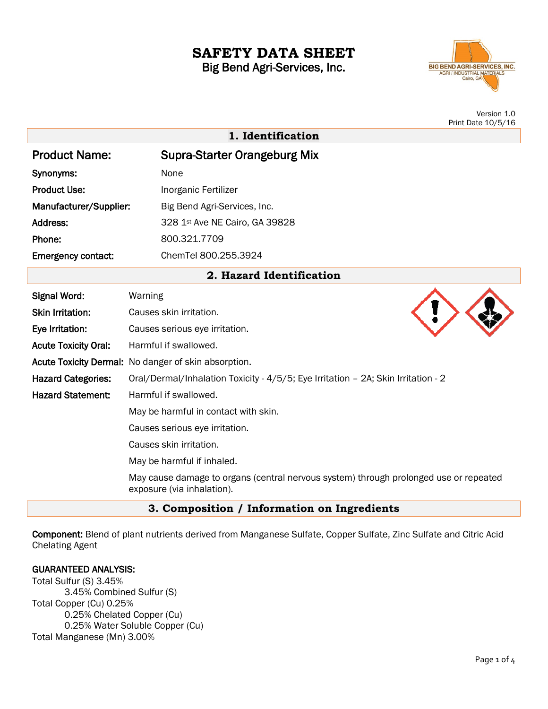# **SAFETY DATA SHEET** Big Bend Agri-Services, Inc.

**BIG BEND AGRI-SERVICES, INC.** AGRI / INDUSTRIAL MATERIALS

> Version 1.0 Print Date 10/5/16

|                             | $1 \text{ m}$ to Date 10/0/10                                                                                       |
|-----------------------------|---------------------------------------------------------------------------------------------------------------------|
|                             | 1. Identification                                                                                                   |
| <b>Product Name:</b>        | <b>Supra-Starter Orangeburg Mix</b>                                                                                 |
| Synonyms:                   | None                                                                                                                |
| <b>Product Use:</b>         | Inorganic Fertilizer                                                                                                |
| Manufacturer/Supplier:      | Big Bend Agri-Services, Inc.                                                                                        |
| Address:                    | 328 1st Ave NE Cairo, GA 39828                                                                                      |
| Phone:                      | 800.321.7709                                                                                                        |
| <b>Emergency contact:</b>   | ChemTel 800.255.3924                                                                                                |
| 2. Hazard Identification    |                                                                                                                     |
| <b>Signal Word:</b>         | Warning                                                                                                             |
| <b>Skin Irritation:</b>     | Causes skin irritation.                                                                                             |
| Eye Irritation:             | Causes serious eye irritation.                                                                                      |
| <b>Acute Toxicity Oral:</b> | Harmful if swallowed.                                                                                               |
|                             | Acute Toxicity Dermal: No danger of skin absorption.                                                                |
| <b>Hazard Categories:</b>   | Oral/Dermal/Inhalation Toxicity - 4/5/5; Eye Irritation - 2A; Skin Irritation - 2                                   |
| <b>Hazard Statement:</b>    | Harmful if swallowed.                                                                                               |
|                             | May be harmful in contact with skin.                                                                                |
|                             | Causes serious eye irritation.                                                                                      |
|                             | Causes skin irritation.                                                                                             |
|                             | May be harmful if inhaled.                                                                                          |
|                             | May cause damage to organs (central nervous system) through prolonged use or repeated<br>exposure (via inhalation). |

# **3. Composition / Information on Ingredients**

Component: Blend of plant nutrients derived from Manganese Sulfate, Copper Sulfate, Zinc Sulfate and Citric Acid Chelating Agent

## GUARANTEED ANALYSIS:

Total Sulfur (S) 3.45% 3.45% Combined Sulfur (S) Total Copper (Cu) 0.25% 0.25% Chelated Copper (Cu) 0.25% Water Soluble Copper (Cu) Total Manganese (Mn) 3.00%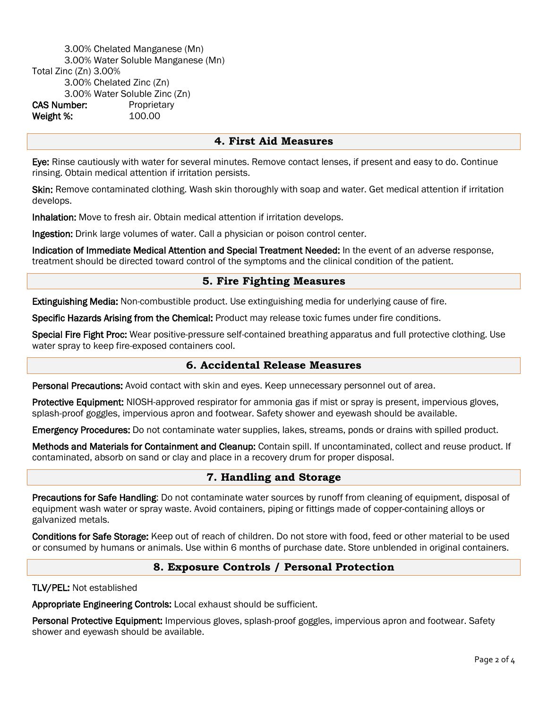3.00% Chelated Manganese (Mn) 3.00% Water Soluble Manganese (Mn) Total Zinc (Zn) 3.00% 3.00% Chelated Zinc (Zn) 3.00% Water Soluble Zinc (Zn) CAS Number: Proprietary Weight %: 100.00

#### **4. First Aid Measures**

Eye: Rinse cautiously with water for several minutes. Remove contact lenses, if present and easy to do. Continue rinsing. Obtain medical attention if irritation persists.

Skin: Remove contaminated clothing. Wash skin thoroughly with soap and water. Get medical attention if irritation develops.

Inhalation: Move to fresh air. Obtain medical attention if irritation develops.

Ingestion: Drink large volumes of water. Call a physician or poison control center.

Indication of Immediate Medical Attention and Special Treatment Needed: In the event of an adverse response, treatment should be directed toward control of the symptoms and the clinical condition of the patient.

#### **5. Fire Fighting Measures**

Extinguishing Media: Non-combustible product. Use extinguishing media for underlying cause of fire.

Specific Hazards Arising from the Chemical: Product may release toxic fumes under fire conditions.

Special Fire Fight Proc: Wear positive-pressure self-contained breathing apparatus and full protective clothing. Use water spray to keep fire-exposed containers cool.

#### **6. Accidental Release Measures**

Personal Precautions: Avoid contact with skin and eyes. Keep unnecessary personnel out of area.

Protective Equipment: NIOSH-approved respirator for ammonia gas if mist or spray is present, impervious gloves, splash-proof goggles, impervious apron and footwear. Safety shower and eyewash should be available.

Emergency Procedures: Do not contaminate water supplies, lakes, streams, ponds or drains with spilled product.

Methods and Materials for Containment and Cleanup: Contain spill. If uncontaminated, collect and reuse product. If contaminated, absorb on sand or clay and place in a recovery drum for proper disposal.

#### **7. Handling and Storage**

Precautions for Safe Handling: Do not contaminate water sources by runoff from cleaning of equipment, disposal of equipment wash water or spray waste. Avoid containers, piping or fittings made of copper-containing alloys or galvanized metals.

Conditions for Safe Storage: Keep out of reach of children. Do not store with food, feed or other material to be used or consumed by humans or animals. Use within 6 months of purchase date. Store unblended in original containers.

#### **8. Exposure Controls / Personal Protection**

#### TLV/PEL: Not established

Appropriate Engineering Controls: Local exhaust should be sufficient.

Personal Protective Equipment: Impervious gloves, splash-proof goggles, impervious apron and footwear. Safety shower and eyewash should be available.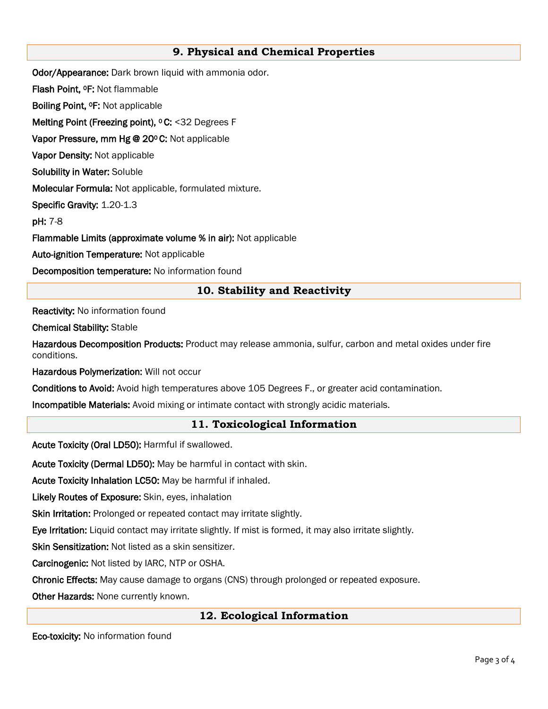# **9. Physical and Chemical Properties**

Odor/Appearance: Dark brown liquid with ammonia odor.

Flash Point, 0F: Not flammable

Boiling Point, 0F: Not applicable

**Melting Point (Freezing point), ° C: <32 Degrees F** 

**Vapor Pressure, mm Hg @ 20ºC:** Not applicable

Vapor Density: Not applicable

Solubility in Water: Soluble

Molecular Formula: Not applicable, formulated mixture.

Specific Gravity: 1.20-1.3

pH: 7-8

Flammable Limits (approximate volume % in air): Not applicable

Auto-ignition Temperature: Not applicable

Decomposition temperature: No information found

# **10. Stability and Reactivity**

Reactivity: No information found

Chemical Stability: Stable

Hazardous Decomposition Products: Product may release ammonia, sulfur, carbon and metal oxides under fire conditions.

Hazardous Polymerization: Will not occur

Conditions to Avoid: Avoid high temperatures above 105 Degrees F., or greater acid contamination.

Incompatible Materials: Avoid mixing or intimate contact with strongly acidic materials.

## **11. Toxicological Information**

Acute Toxicity (Oral LD50): Harmful if swallowed.

Acute Toxicity (Dermal LD50): May be harmful in contact with skin.

Acute Toxicity Inhalation LC50: May be harmful if inhaled.

Likely Routes of Exposure: Skin, eyes, inhalation

Skin Irritation: Prolonged or repeated contact may irritate slightly.

Eye Irritation: Liquid contact may irritate slightly. If mist is formed, it may also irritate slightly.

Skin Sensitization: Not listed as a skin sensitizer.

Carcinogenic: Not listed by IARC, NTP or OSHA.

Chronic Effects: May cause damage to organs (CNS) through prolonged or repeated exposure.

Other Hazards: None currently known.

## **12. Ecological Information**

Eco-toxicity: No information found